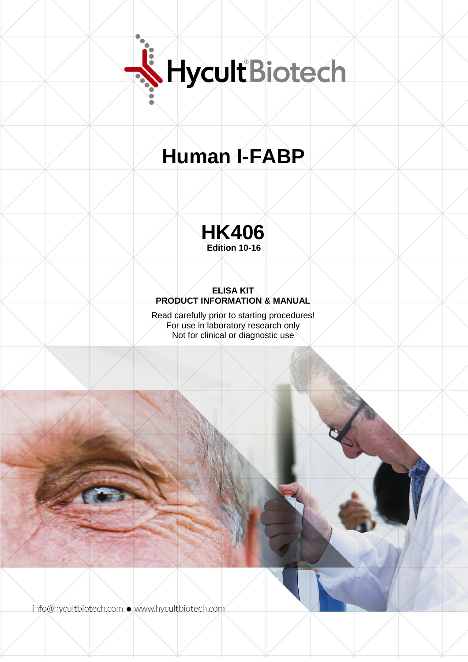

# **Human I-FABP**



## **ELISA KIT PRODUCT INFORMATION & MANUAL**

Read carefully prior to starting procedures! For use in laboratory research only Not for clinical or diagnostic use

info@hycultbiotech.com · www.hycultbiotech.com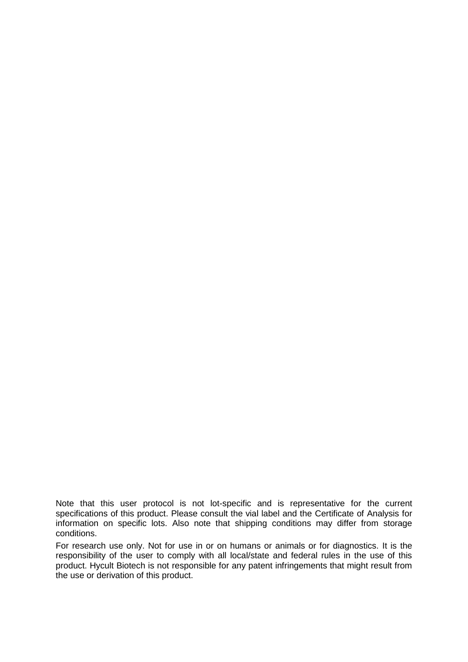Note that this user protocol is not lot-specific and is representative for the current specifications of this product. Please consult the vial label and the Certificate of Analysis for information on specific lots. Also note that shipping conditions may differ from storage conditions.

For research use only. Not for use in or on humans or animals or for diagnostics. It is the responsibility of the user to comply with all local/state and federal rules in the use of this product. Hycult Biotech is not responsible for any patent infringements that might result from the use or derivation of this product.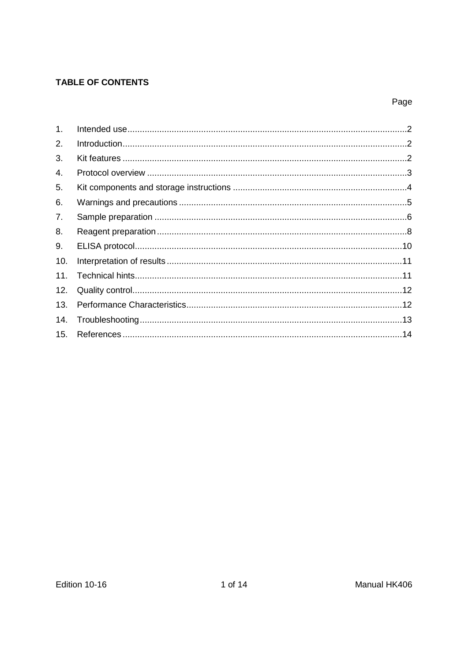## **TABLE OF CONTENTS**

## Page

| $\mathbf{1}$ . |  |
|----------------|--|
| 2.             |  |
| 3.             |  |
| 4.             |  |
| 5.             |  |
| 6.             |  |
| 7.             |  |
| 8.             |  |
| 9.             |  |
| 10.            |  |
| 11.            |  |
| 12.            |  |
| 13.            |  |
| 14.            |  |
| 15.            |  |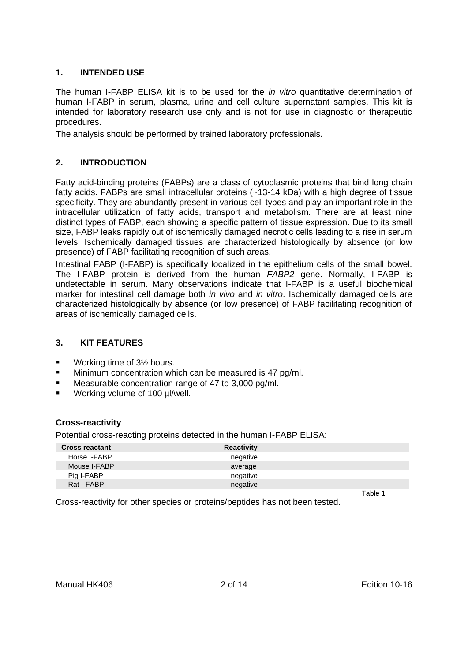## <span id="page-3-0"></span>**1. INTENDED USE**

The human I-FABP ELISA kit is to be used for the *in vitro* quantitative determination of human I-FABP in serum, plasma, urine and cell culture supernatant samples. This kit is intended for laboratory research use only and is not for use in diagnostic or therapeutic procedures.

<span id="page-3-1"></span>The analysis should be performed by trained laboratory professionals.

## **2. INTRODUCTION**

Fatty acid-binding proteins (FABPs) are a class of cytoplasmic proteins that bind long chain fatty acids. FABPs are small intracellular proteins (~13-14 kDa) with a high degree of tissue specificity. They are abundantly present in various cell types and play an important role in the intracellular utilization of fatty acids, transport and metabolism. There are at least nine distinct types of FABP, each showing a specific pattern of tissue expression. Due to its small size, FABP leaks rapidly out of ischemically damaged necrotic cells leading to a rise in serum levels. Ischemically damaged tissues are characterized histologically by absence (or low presence) of FABP facilitating recognition of such areas.

Intestinal FABP (I-FABP) is specifically localized in the epithelium cells of the small bowel. The I-FABP protein is derived from the human *FABP2* gene. Normally, I-FABP is undetectable in serum. Many observations indicate that I-FABP is a useful biochemical marker for intestinal cell damage both *in vivo* and *in vitro*. Ischemically damaged cells are characterized histologically by absence (or low presence) of FABP facilitating recognition of areas of ischemically damaged cells.

#### <span id="page-3-2"></span>**3. KIT FEATURES**

- Working time of 3<sup>1</sup>/<sub>2</sub> hours.
- **Minimum concentration which can be measured is 47 pg/ml.**
- Measurable concentration range of 47 to 3,000 pg/ml.
- Working volume of 100 µl/well.

#### **Cross-reactivity**

Potential cross-reacting proteins detected in the human I-FABP ELISA:

| <b>Cross reactant</b> | <b>Reactivity</b> |        |
|-----------------------|-------------------|--------|
| Horse I-FABP          | negative          |        |
| Mouse I-FABP          | average           |        |
| Pig I-FABP            | negative          |        |
| Rat I-FABP            | negative          |        |
|                       |                   | 1 Ahle |

Cross-reactivity for other species or proteins/peptides has not been tested.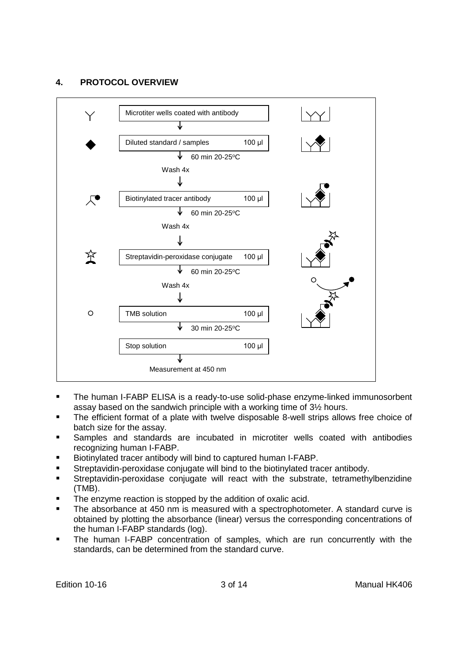## <span id="page-4-0"></span>**4. PROTOCOL OVERVIEW**



- The human I-FABP ELISA is a ready-to-use solid-phase enzyme-linked immunosorbent assay based on the sandwich principle with a working time of 3½ hours.
- The efficient format of a plate with twelve disposable 8-well strips allows free choice of batch size for the assay.
- Samples and standards are incubated in microtiter wells coated with antibodies recognizing human I-FABP.
- Biotinylated tracer antibody will bind to captured human I-FABP.
- Streptavidin-peroxidase conjugate will bind to the biotinylated tracer antibody.
- Streptavidin-peroxidase conjugate will react with the substrate, tetramethylbenzidine (TMB).
- The enzyme reaction is stopped by the addition of oxalic acid.
- The absorbance at 450 nm is measured with a spectrophotometer. A standard curve is obtained by plotting the absorbance (linear) versus the corresponding concentrations of the human I-FABP standards (log).
- The human I-FABP concentration of samples, which are run concurrently with the standards, can be determined from the standard curve.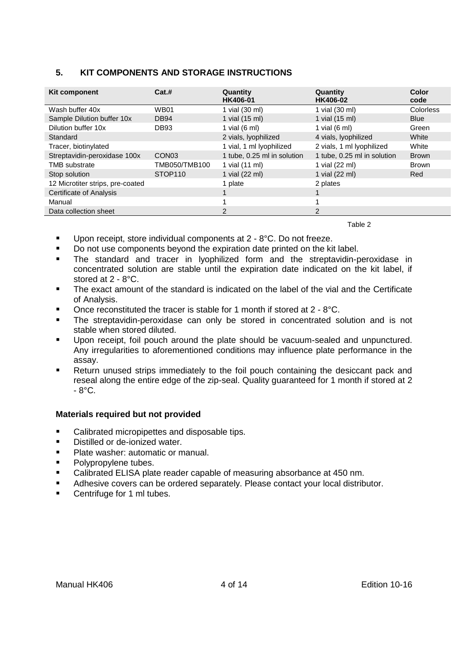## <span id="page-5-0"></span>**5. KIT COMPONENTS AND STORAGE INSTRUCTIONS**

| Kit component                    | Cat.#               | Quantity<br>HK406-01        | Quantity<br>HK406-02        | Color<br>code    |
|----------------------------------|---------------------|-----------------------------|-----------------------------|------------------|
| Wash buffer 40x                  | <b>WB01</b>         | 1 vial (30 ml)              | 1 vial (30 ml)              | <b>Colorless</b> |
| Sample Dilution buffer 10x       | <b>DB94</b>         | 1 vial (15 ml)              | 1 vial (15 ml)              | <b>Blue</b>      |
| Dilution buffer 10x              | DB <sub>93</sub>    | 1 vial $(6 \text{ ml})$     | 1 vial $(6 \text{ ml})$     | Green            |
| Standard                         |                     | 2 vials, lyophilized        | 4 vials, lyophilized        | White            |
| Tracer, biotinylated             |                     | 1 vial, 1 ml lyophilized    | 2 vials, 1 ml lyophilized   | White            |
| Streptavidin-peroxidase 100x     | CON <sub>03</sub>   | 1 tube, 0.25 ml in solution | 1 tube, 0.25 ml in solution | <b>Brown</b>     |
| <b>TMB</b> substrate             | TMB050/TMB100       | 1 vial (11 ml)              | 1 vial (22 ml)              | <b>Brown</b>     |
| Stop solution                    | STOP <sub>110</sub> | 1 vial (22 ml)              | 1 vial (22 ml)              | Red              |
| 12 Microtiter strips, pre-coated |                     | 1 plate                     | 2 plates                    |                  |
| Certificate of Analysis          |                     |                             |                             |                  |
| Manual                           |                     |                             |                             |                  |
| Data collection sheet            |                     | $\mathcal{P}$               | $\overline{2}$              |                  |

Table 2

- Upon receipt, store individual components at 2 8°C. Do not freeze.
- Do not use components beyond the expiration date printed on the kit label.
- The standard and tracer in lyophilized form and the streptavidin-peroxidase in concentrated solution are stable until the expiration date indicated on the kit label, if stored at 2 - 8°C.
- The exact amount of the standard is indicated on the label of the vial and the Certificate of Analysis.
- $\blacksquare$  Once reconstituted the tracer is stable for 1 month if stored at 2 8°C.
- **The streptavidin-peroxidase can only be stored in concentrated solution and is not** stable when stored diluted.
- Upon receipt, foil pouch around the plate should be vacuum-sealed and unpunctured. Any irregularities to aforementioned conditions may influence plate performance in the assay.
- Return unused strips immediately to the foil pouch containing the desiccant pack and reseal along the entire edge of the zip-seal. Quality guaranteed for 1 month if stored at 2  $-8^{\circ}$ C.

#### **Materials required but not provided**

- Calibrated micropipettes and disposable tips.
- Distilled or de-ionized water.
- Plate washer: automatic or manual.
- **Polypropylene tubes.**
- Calibrated ELISA plate reader capable of measuring absorbance at 450 nm.
- Adhesive covers can be ordered separately. Please contact your local distributor.
- **Centrifuge for 1 ml tubes.**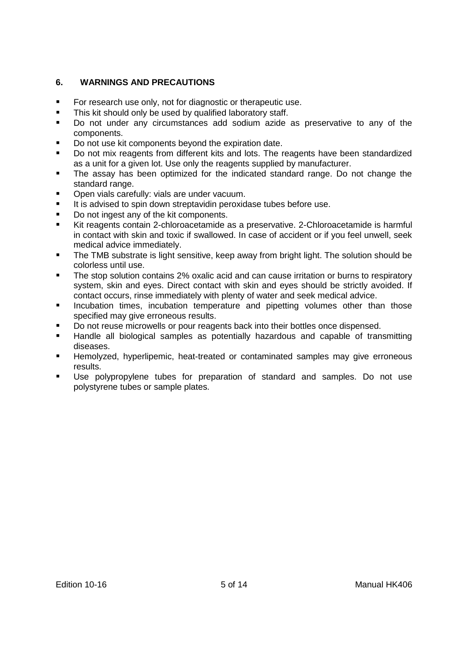## <span id="page-6-0"></span>**6. WARNINGS AND PRECAUTIONS**

- For research use only, not for diagnostic or therapeutic use.
- **This kit should only be used by qualified laboratory staff.**
- Do not under any circumstances add sodium azide as preservative to any of the components.
- Do not use kit components beyond the expiration date.
- Do not mix reagents from different kits and lots. The reagents have been standardized as a unit for a given lot. Use only the reagents supplied by manufacturer.
- The assay has been optimized for the indicated standard range. Do not change the standard range.
- **Den vials carefully: vials are under vacuum.**
- It is advised to spin down streptavidin peroxidase tubes before use.
- Do not ingest any of the kit components.
- Kit reagents contain 2-chloroacetamide as a preservative. 2-Chloroacetamide is harmful in contact with skin and toxic if swallowed. In case of accident or if you feel unwell, seek medical advice immediately.
- The TMB substrate is light sensitive, keep away from bright light. The solution should be colorless until use.
- The stop solution contains 2% oxalic acid and can cause irritation or burns to respiratory system, skin and eyes. Direct contact with skin and eyes should be strictly avoided. If contact occurs, rinse immediately with plenty of water and seek medical advice.
- **Incubation times, incubation temperature and pipetting volumes other than those** specified may give erroneous results.
- Do not reuse microwells or pour reagents back into their bottles once dispensed.
- Handle all biological samples as potentially hazardous and capable of transmitting diseases.
- **Hemolyzed, hyperlipemic, heat-treated or contaminated samples may give erroneous** results.
- Use polypropylene tubes for preparation of standard and samples. Do not use polystyrene tubes or sample plates.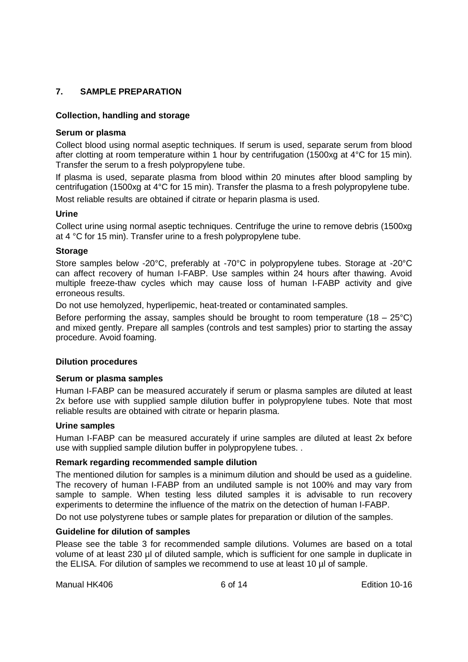## <span id="page-7-0"></span>**7. SAMPLE PREPARATION**

#### **Collection, handling and storage**

#### **Serum or plasma**

Collect blood using normal aseptic techniques. If serum is used, separate serum from blood after clotting at room temperature within 1 hour by centrifugation (1500xg at 4°C for 15 min). Transfer the serum to a fresh polypropylene tube.

If plasma is used, separate plasma from blood within 20 minutes after blood sampling by centrifugation (1500xg at 4°C for 15 min). Transfer the plasma to a fresh polypropylene tube. Most reliable results are obtained if citrate or heparin plasma is used.

#### **Urine**

Collect urine using normal aseptic techniques. Centrifuge the urine to remove debris (1500xg at 4 °C for 15 min). Transfer urine to a fresh polypropylene tube.

#### **Storage**

Store samples below -20°C, preferably at -70°C in polypropylene tubes. Storage at -20°C can affect recovery of human I-FABP. Use samples within 24 hours after thawing. Avoid multiple freeze-thaw cycles which may cause loss of human I-FABP activity and give erroneous results.

Do not use hemolyzed, hyperlipemic, heat-treated or contaminated samples.

Before performing the assay, samples should be brought to room temperature  $(18 - 25^{\circ}C)$ and mixed gently. Prepare all samples (controls and test samples) prior to starting the assay procedure. Avoid foaming.

#### **Dilution procedures**

#### **Serum or plasma samples**

Human I-FABP can be measured accurately if serum or plasma samples are diluted at least 2x before use with supplied sample dilution buffer in polypropylene tubes. Note that most reliable results are obtained with citrate or heparin plasma.

#### **Urine samples**

Human I-FABP can be measured accurately if urine samples are diluted at least 2x before use with supplied sample dilution buffer in polypropylene tubes. .

#### **Remark regarding recommended sample dilution**

The mentioned dilution for samples is a minimum dilution and should be used as a guideline. The recovery of human I-FABP from an undiluted sample is not 100% and may vary from sample to sample. When testing less diluted samples it is advisable to run recovery experiments to determine the influence of the matrix on the detection of human I-FABP.

Do not use polystyrene tubes or sample plates for preparation or dilution of the samples.

#### **Guideline for dilution of samples**

Please see the table 3 for recommended sample dilutions. Volumes are based on a total volume of at least 230 µl of diluted sample, which is sufficient for one sample in duplicate in the ELISA. For dilution of samples we recommend to use at least 10 µl of sample.

Manual HK406 6 of 14 Edition 10-16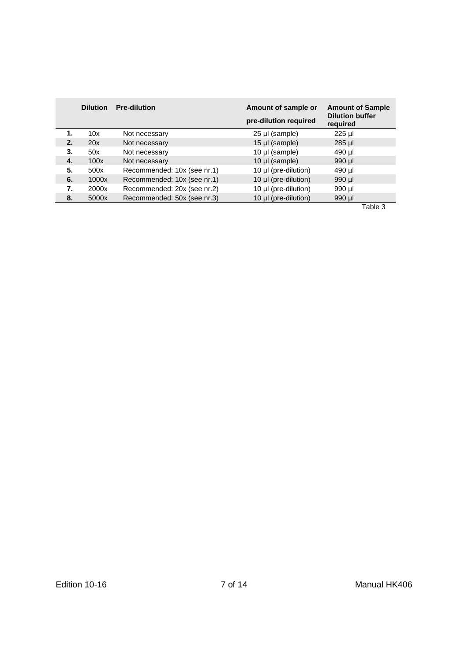|    | <b>Dilution</b> | <b>Pre-dilution</b>         | Amount of sample or<br>pre-dilution required | <b>Amount of Sample</b><br><b>Dilution buffer</b><br>required |
|----|-----------------|-----------------------------|----------------------------------------------|---------------------------------------------------------------|
| 1. | 10x             | Not necessary               | 25 µl (sample)                               | 225 µl                                                        |
| 2. | 20x             | Not necessary               | 15 $\mu$ (sample)                            | $285$ µ $\text{I}$                                            |
| 3. | 50x             | Not necessary               | 10 µl (sample)                               | 490 µl                                                        |
| 4. | 100x            | Not necessary               | 10 $\mu$ (sample)                            | 990 µl                                                        |
| 5. | 500x            | Recommended: 10x (see nr.1) | 10 µl (pre-dilution)                         | 490 µl                                                        |
| 6. | 1000x           | Recommended: 10x (see nr.1) | 10 µl (pre-dilution)                         | 990 µl                                                        |
| 7. | 2000x           | Recommended: 20x (see nr.2) | 10 µl (pre-dilution)                         | 990 µl                                                        |
| 8. | 5000x           | Recommended: 50x (see nr.3) | 10 µl (pre-dilution)                         | 990 µl                                                        |
|    |                 |                             |                                              | Table 3                                                       |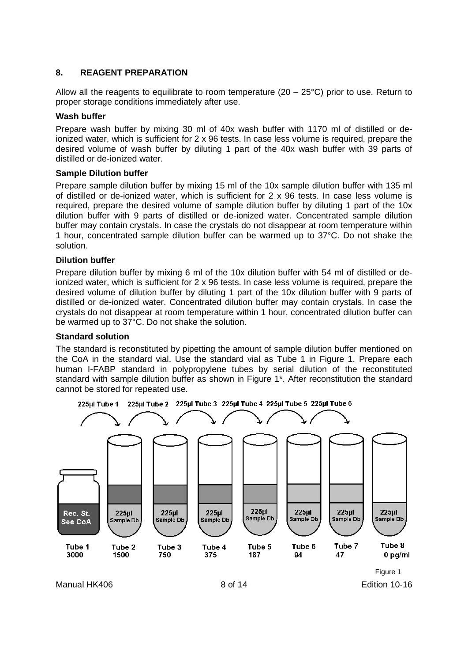## <span id="page-9-0"></span>**8. REAGENT PREPARATION**

Allow all the reagents to equilibrate to room temperature ( $20 - 25^{\circ}$ C) prior to use. Return to proper storage conditions immediately after use.

#### **Wash buffer**

Prepare wash buffer by mixing 30 ml of 40x wash buffer with 1170 ml of distilled or deionized water, which is sufficient for 2 x 96 tests. In case less volume is required, prepare the desired volume of wash buffer by diluting 1 part of the 40x wash buffer with 39 parts of distilled or de-ionized water.

#### **Sample Dilution buffer**

Prepare sample dilution buffer by mixing 15 ml of the 10x sample dilution buffer with 135 ml of distilled or de-ionized water, which is sufficient for 2 x 96 tests. In case less volume is required, prepare the desired volume of sample dilution buffer by diluting 1 part of the 10x dilution buffer with 9 parts of distilled or de-ionized water. Concentrated sample dilution buffer may contain crystals. In case the crystals do not disappear at room temperature within 1 hour, concentrated sample dilution buffer can be warmed up to 37°C. Do not shake the solution.

#### **Dilution buffer**

Prepare dilution buffer by mixing 6 ml of the 10x dilution buffer with 54 ml of distilled or deionized water, which is sufficient for 2 x 96 tests. In case less volume is required, prepare the desired volume of dilution buffer by diluting 1 part of the 10x dilution buffer with 9 parts of distilled or de-ionized water. Concentrated dilution buffer may contain crystals. In case the crystals do not disappear at room temperature within 1 hour, concentrated dilution buffer can be warmed up to 37°C. Do not shake the solution.

#### **Standard solution**

The standard is reconstituted by pipetting the amount of sample dilution buffer mentioned on the CoA in the standard vial. Use the standard vial as Tube 1 in Figure 1. Prepare each human I-FABP standard in polypropylene tubes by serial dilution of the reconstituted standard with sample dilution buffer as shown in Figure 1\*. After reconstitution the standard cannot be stored for repeated use.

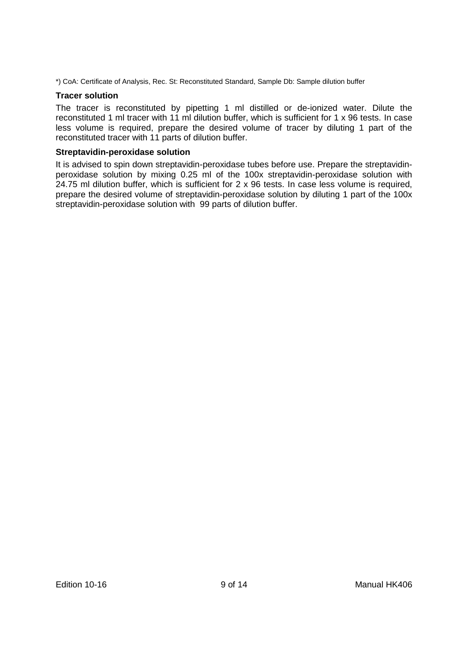\*) CoA: Certificate of Analysis, Rec. St: Reconstituted Standard, Sample Db: Sample dilution buffer

#### **Tracer solution**

The tracer is reconstituted by pipetting 1 ml distilled or de-ionized water. Dilute the reconstituted 1 ml tracer with 11 ml dilution buffer, which is sufficient for 1 x 96 tests. In case less volume is required, prepare the desired volume of tracer by diluting 1 part of the reconstituted tracer with 11 parts of dilution buffer.

#### **Streptavidin-peroxidase solution**

It is advised to spin down streptavidin-peroxidase tubes before use. Prepare the streptavidinperoxidase solution by mixing 0.25 ml of the 100x streptavidin-peroxidase solution with 24.75 ml dilution buffer, which is sufficient for 2 x 96 tests. In case less volume is required, prepare the desired volume of streptavidin-peroxidase solution by diluting 1 part of the 100x streptavidin-peroxidase solution with 99 parts of dilution buffer.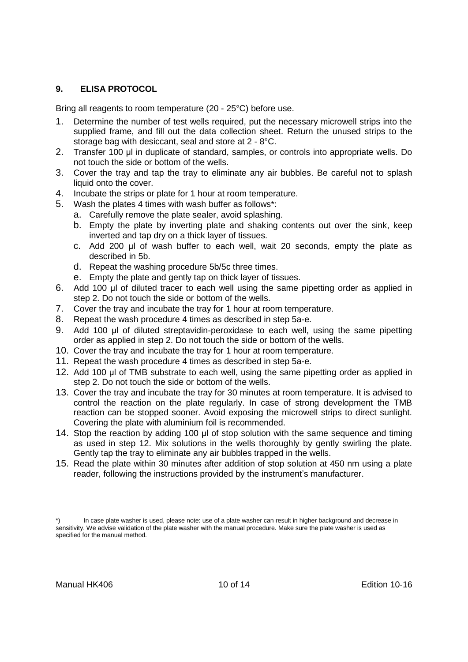## <span id="page-11-0"></span>**9. ELISA PROTOCOL**

Bring all reagents to room temperature (20 - 25°C) before use.

- 1. Determine the number of test wells required, put the necessary microwell strips into the supplied frame, and fill out the data collection sheet. Return the unused strips to the storage bag with desiccant, seal and store at 2 - 8°C.
- 2. Transfer 100 μl in duplicate of standard, samples, or controls into appropriate wells. Do not touch the side or bottom of the wells.
- 3. Cover the tray and tap the tray to eliminate any air bubbles. Be careful not to splash liquid onto the cover.
- 4. Incubate the strips or plate for 1 hour at room temperature.
- 5. Wash the plates 4 times with wash buffer as follows\*:
	- a. Carefully remove the plate sealer, avoid splashing.
	- b. Empty the plate by inverting plate and shaking contents out over the sink, keep inverted and tap dry on a thick layer of tissues.
	- c. Add 200 μl of wash buffer to each well, wait 20 seconds, empty the plate as described in 5b.
	- d. Repeat the washing procedure 5b/5c three times.
	- e. Empty the plate and gently tap on thick layer of tissues.
- 6. Add 100 μl of diluted tracer to each well using the same pipetting order as applied in step 2. Do not touch the side or bottom of the wells.
- 7. Cover the tray and incubate the tray for 1 hour at room temperature.
- 8. Repeat the wash procedure 4 times as described in step 5a-e.
- 9. Add 100 μl of diluted streptavidin-peroxidase to each well, using the same pipetting order as applied in step 2. Do not touch the side or bottom of the wells.
- 10. Cover the tray and incubate the tray for 1 hour at room temperature.
- 11. Repeat the wash procedure 4 times as described in step 5a-e.
- 12. Add 100 μl of TMB substrate to each well, using the same pipetting order as applied in step 2. Do not touch the side or bottom of the wells.
- 13. Cover the tray and incubate the tray for 30 minutes at room temperature. It is advised to control the reaction on the plate regularly. In case of strong development the TMB reaction can be stopped sooner. Avoid exposing the microwell strips to direct sunlight. Covering the plate with aluminium foil is recommended.
- 14. Stop the reaction by adding 100 μl of stop solution with the same sequence and timing as used in step 12. Mix solutions in the wells thoroughly by gently swirling the plate. Gently tap the tray to eliminate any air bubbles trapped in the wells.
- 15. Read the plate within 30 minutes after addition of stop solution at 450 nm using a plate reader, following the instructions provided by the instrument's manufacturer.

<sup>\*)</sup> In case plate washer is used, please note: use of a plate washer can result in higher background and decrease in sensitivity. We advise validation of the plate washer with the manual procedure. Make sure the plate washer is used as specified for the manual method.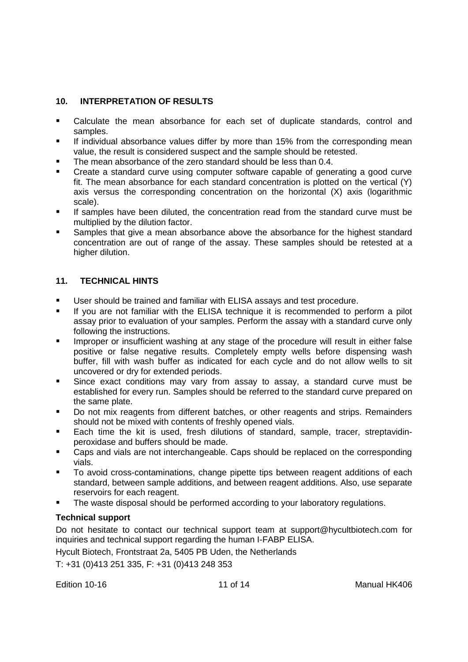## <span id="page-12-0"></span>**10. INTERPRETATION OF RESULTS**

- Calculate the mean absorbance for each set of duplicate standards, control and samples.
- **If individual absorbance values differ by more than 15% from the corresponding mean** value, the result is considered suspect and the sample should be retested.
- The mean absorbance of the zero standard should be less than 0.4.
- Create a standard curve using computer software capable of generating a good curve fit. The mean absorbance for each standard concentration is plotted on the vertical (Y) axis versus the corresponding concentration on the horizontal (X) axis (logarithmic scale).
- If samples have been diluted, the concentration read from the standard curve must be multiplied by the dilution factor.
- Samples that give a mean absorbance above the absorbance for the highest standard concentration are out of range of the assay. These samples should be retested at a higher dilution.

## <span id="page-12-1"></span>**11. TECHNICAL HINTS**

- User should be trained and familiar with ELISA assays and test procedure.
- If you are not familiar with the ELISA technique it is recommended to perform a pilot assay prior to evaluation of your samples. Perform the assay with a standard curve only following the instructions.
- Improper or insufficient washing at any stage of the procedure will result in either false positive or false negative results. Completely empty wells before dispensing wash buffer, fill with wash buffer as indicated for each cycle and do not allow wells to sit uncovered or dry for extended periods.
- Since exact conditions may vary from assay to assay, a standard curve must be established for every run. Samples should be referred to the standard curve prepared on the same plate.
- Do not mix reagents from different batches, or other reagents and strips. Remainders should not be mixed with contents of freshly opened vials.
- Each time the kit is used, fresh dilutions of standard, sample, tracer, streptavidinperoxidase and buffers should be made.
- Caps and vials are not interchangeable. Caps should be replaced on the corresponding vials.
- To avoid cross-contaminations, change pipette tips between reagent additions of each standard, between sample additions, and between reagent additions. Also, use separate reservoirs for each reagent.
- The waste disposal should be performed according to your laboratory regulations.

## **Technical support**

Do not hesitate to contact our technical support team at support@hycultbiotech.com for inquiries and technical support regarding the human I-FABP ELISA.

Hycult Biotech, Frontstraat 2a, 5405 PB Uden, the Netherlands

T: +31 (0)413 251 335, F: +31 (0)413 248 353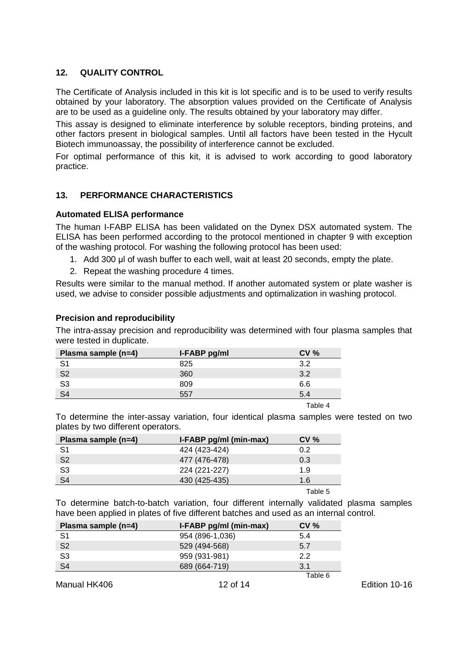## <span id="page-13-0"></span>**12. QUALITY CONTROL**

The Certificate of Analysis included in this kit is lot specific and is to be used to verify results obtained by your laboratory. The absorption values provided on the Certificate of Analysis are to be used as a guideline only. The results obtained by your laboratory may differ.

This assay is designed to eliminate interference by soluble receptors, binding proteins, and other factors present in biological samples. Until all factors have been tested in the Hycult Biotech immunoassay, the possibility of interference cannot be excluded.

For optimal performance of this kit, it is advised to work according to good laboratory practice.

## <span id="page-13-1"></span>**13. PERFORMANCE CHARACTERISTICS**

#### **Automated ELISA performance**

The human I-FABP ELISA has been validated on the Dynex DSX automated system. The ELISA has been performed according to the protocol mentioned in chapter 9 with exception of the washing protocol. For washing the following protocol has been used:

- 1. Add 300 μl of wash buffer to each well, wait at least 20 seconds, empty the plate.
- 2. Repeat the washing procedure 4 times.

Results were similar to the manual method. If another automated system or plate washer is used, we advise to consider possible adjustments and optimalization in washing protocol.

#### **Precision and reproducibility**

The intra-assay precision and reproducibility was determined with four plasma samples that were tested in duplicate.

| Plasma sample (n=4) | I-FABP pg/ml | CV%     |
|---------------------|--------------|---------|
| S <sub>1</sub>      | 825          | 3.2     |
| S <sub>2</sub>      | 360          | 3.2     |
| S <sub>3</sub>      | 809          | 6.6     |
| S <sub>4</sub>      | 557          | 5.4     |
|                     |              | Table 4 |

To determine the inter-assay variation, four identical plasma samples were tested on two plates by two different operators.

| Plasma sample (n=4) | I-FABP pg/ml (min-max) | $CV \%$ |
|---------------------|------------------------|---------|
| S1                  | 424 (423-424)          | 0.2     |
| S <sub>2</sub>      | 477 (476-478)          | 0.3     |
| S <sub>3</sub>      | 224 (221-227)          | 1.9     |
| S <sub>4</sub>      | 430 (425-435)          | 1.6     |
|                     |                        |         |

Table 5

To determine batch-to-batch variation, four different internally validated plasma samples have been applied in plates of five different batches and used as an internal control.

| Plasma sample (n=4) | I-FABP pg/ml (min-max) | $CV \%$ |
|---------------------|------------------------|---------|
| S <sub>1</sub>      | 954 (896-1,036)        | 5.4     |
| S <sub>2</sub>      | 529 (494-568)          | 5.7     |
| S <sub>3</sub>      | 959 (931-981)          | 22      |
| S <sub>4</sub>      | 689 (664-719)          | 3.1     |
|                     |                        | Table 6 |

Manual HK406 12 of 14 Edition 10-16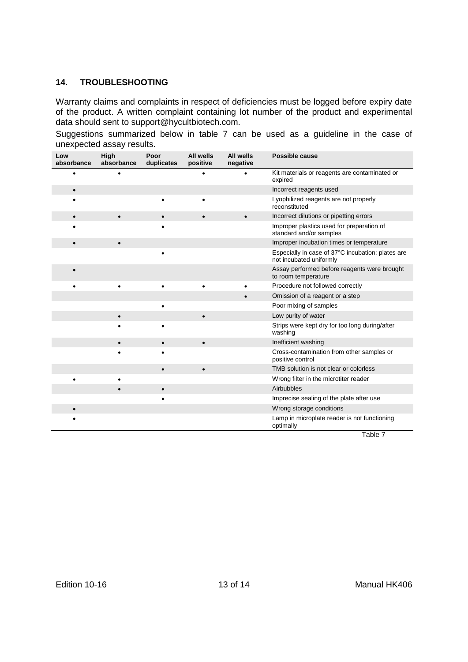## <span id="page-14-0"></span>**14. TROUBLESHOOTING**

Warranty claims and complaints in respect of deficiencies must be logged before expiry date of the product. A written complaint containing lot number of the product and experimental data should sent to [support@hycultbiotech.com.](mailto:support@hbt.nl)

Suggestions summarized below in table 7 can be used as a guideline in the case of unexpected assay results.

| Low<br>absorbance | High<br>absorbance | Poor<br>duplicates | All wells<br>positive | All wells<br>negative | Possible cause                                                                 |
|-------------------|--------------------|--------------------|-----------------------|-----------------------|--------------------------------------------------------------------------------|
|                   |                    |                    |                       |                       | Kit materials or reagents are contaminated or<br>expired                       |
| $\bullet$         |                    |                    |                       |                       | Incorrect reagents used                                                        |
|                   |                    | $\bullet$          | ٠                     |                       | Lyophilized reagents are not properly<br>reconstituted                         |
|                   |                    |                    |                       |                       | Incorrect dilutions or pipetting errors                                        |
|                   |                    |                    |                       |                       | Improper plastics used for preparation of<br>standard and/or samples           |
|                   |                    |                    |                       |                       | Improper incubation times or temperature                                       |
|                   |                    |                    |                       |                       | Especially in case of 37°C incubation: plates are<br>not incubated uniformly   |
|                   |                    |                    |                       |                       | Assay performed before reagents were brought<br>to room temperature            |
|                   |                    |                    |                       |                       | Procedure not followed correctly                                               |
|                   |                    |                    |                       |                       | Omission of a reagent or a step                                                |
|                   |                    |                    |                       |                       | Poor mixing of samples                                                         |
|                   |                    |                    | $\bullet$             |                       | Low purity of water                                                            |
|                   |                    |                    |                       |                       | Strips were kept dry for too long during/after<br>washing                      |
|                   |                    |                    | $\bullet$             |                       | Inefficient washing                                                            |
|                   |                    |                    |                       |                       | Cross-contamination from other samples or<br>positive control                  |
|                   |                    |                    |                       |                       | TMB solution is not clear or colorless                                         |
|                   |                    |                    |                       |                       | Wrong filter in the microtiter reader                                          |
|                   |                    | $\bullet$          |                       |                       | Airbubbles                                                                     |
|                   |                    |                    |                       |                       | Imprecise sealing of the plate after use                                       |
|                   |                    |                    |                       |                       | Wrong storage conditions                                                       |
|                   |                    |                    |                       |                       | Lamp in microplate reader is not functioning<br>optimally<br>$- \cdot \cdot -$ |

Table 7